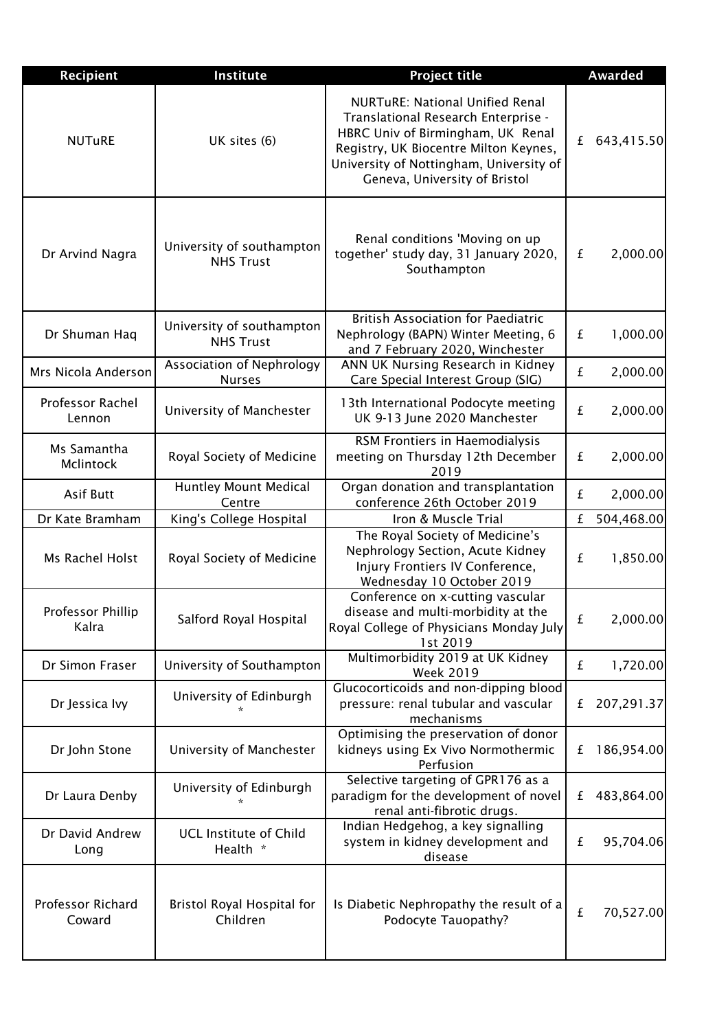| <b>Recipient</b>                  | Institute                                     | <b>Project title</b>                                                                                                                                                                                                                    |   | <b>Awarded</b> |
|-----------------------------------|-----------------------------------------------|-----------------------------------------------------------------------------------------------------------------------------------------------------------------------------------------------------------------------------------------|---|----------------|
| <b>NUTuRE</b>                     | UK sites (6)                                  | <b>NURTuRE: National Unified Renal</b><br>Translational Research Enterprise -<br>HBRC Univ of Birmingham, UK Renal<br>Registry, UK Biocentre Milton Keynes,<br>University of Nottingham, University of<br>Geneva, University of Bristol | £ | 643,415.50     |
| Dr Arvind Nagra                   | University of southampton<br><b>NHS Trust</b> | Renal conditions 'Moving on up<br>together' study day, 31 January 2020,<br>Southampton                                                                                                                                                  | £ | 2,000.00       |
| Dr Shuman Haq                     | University of southampton<br><b>NHS Trust</b> | <b>British Association for Paediatric</b><br>Nephrology (BAPN) Winter Meeting, 6<br>and 7 February 2020, Winchester                                                                                                                     | £ | 1,000.00       |
| Mrs Nicola Anderson               | Association of Nephrology<br><b>Nurses</b>    | ANN UK Nursing Research in Kidney<br>Care Special Interest Group (SIG)                                                                                                                                                                  | £ | 2,000.00       |
| <b>Professor Rachel</b><br>Lennon | University of Manchester                      | 13th International Podocyte meeting<br>UK 9-13 June 2020 Manchester                                                                                                                                                                     | £ | 2,000.00       |
| Ms Samantha<br>Mclintock          | Royal Society of Medicine                     | RSM Frontiers in Haemodialysis<br>meeting on Thursday 12th December<br>2019                                                                                                                                                             | £ | 2,000.00       |
| <b>Asif Butt</b>                  | Huntley Mount Medical<br>Centre               | Organ donation and transplantation<br>conference 26th October 2019                                                                                                                                                                      | £ | 2,000.00       |
| Dr Kate Bramham                   | King's College Hospital                       | Iron & Muscle Trial                                                                                                                                                                                                                     | £ | 504,468.00     |
| Ms Rachel Holst                   | Royal Society of Medicine                     | The Royal Society of Medicine's<br>Nephrology Section, Acute Kidney<br>Injury Frontiers IV Conference,<br>Wednesday 10 October 2019                                                                                                     | £ | 1,850.00       |
| Professor Phillip<br>Kalra        | Salford Royal Hospital                        | Conference on x-cutting vascular<br>disease and multi-morbidity at the<br>Royal College of Physicians Monday July<br>1st 2019                                                                                                           | £ | 2,000.00       |
| Dr Simon Fraser                   | University of Southampton                     | Multimorbidity 2019 at UK Kidney<br><b>Week 2019</b>                                                                                                                                                                                    | £ | 1,720.00       |
| Dr Jessica Ivy                    | University of Edinburgh                       | Glucocorticoids and non-dipping blood<br>pressure: renal tubular and vascular<br>mechanisms                                                                                                                                             | £ | 207,291.37     |
| Dr John Stone                     | University of Manchester                      | Optimising the preservation of donor<br>kidneys using Ex Vivo Normothermic<br>Perfusion                                                                                                                                                 | £ | 186,954.00     |
| Dr Laura Denby                    | University of Edinburgh                       | Selective targeting of GPR176 as a<br>paradigm for the development of novel<br>renal anti-fibrotic drugs.                                                                                                                               | £ | 483,864.00     |
| Dr David Andrew<br>Long           | <b>UCL Institute of Child</b><br>Health *     | Indian Hedgehog, a key signalling<br>system in kidney development and<br>disease                                                                                                                                                        | £ | 95,704.06      |
| Professor Richard<br>Coward       | Bristol Royal Hospital for<br>Children        | Is Diabetic Nephropathy the result of a<br>Podocyte Tauopathy?                                                                                                                                                                          | £ | 70,527.00      |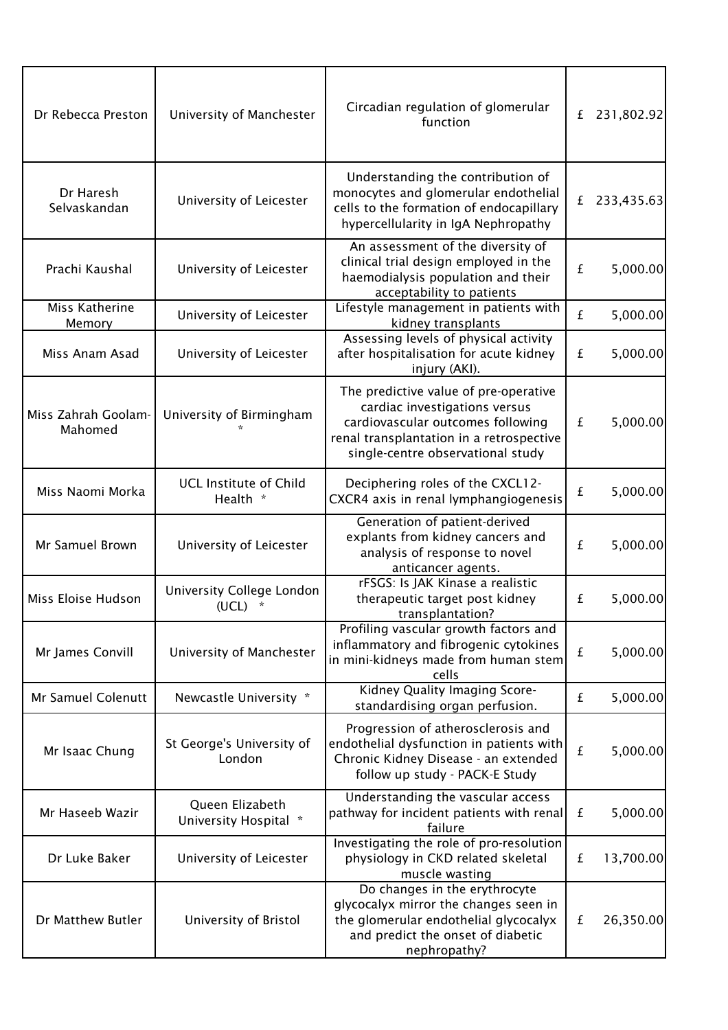| Dr Rebecca Preston             | University of Manchester                      | Circadian regulation of glomerular<br>function                                                                                                                                               | £ | 231,802.92 |
|--------------------------------|-----------------------------------------------|----------------------------------------------------------------------------------------------------------------------------------------------------------------------------------------------|---|------------|
| Dr Haresh<br>Selvaskandan      | University of Leicester                       | Understanding the contribution of<br>monocytes and glomerular endothelial<br>cells to the formation of endocapillary<br>hypercellularity in IgA Nephropathy                                  | £ | 233,435.63 |
| Prachi Kaushal                 | University of Leicester                       | An assessment of the diversity of<br>clinical trial design employed in the<br>haemodialysis population and their<br>acceptability to patients                                                | £ | 5,000.00   |
| Miss Katherine<br>Memory       | University of Leicester                       | Lifestyle management in patients with<br>kidney transplants                                                                                                                                  | £ | 5,000.00   |
| Miss Anam Asad                 | University of Leicester                       | Assessing levels of physical activity<br>after hospitalisation for acute kidney<br>injury (AKI).                                                                                             | £ | 5,000.00   |
| Miss Zahrah Goolam-<br>Mahomed | University of Birmingham                      | The predictive value of pre-operative<br>cardiac investigations versus<br>cardiovascular outcomes following<br>renal transplantation in a retrospective<br>single-centre observational study | £ | 5,000.00   |
| Miss Naomi Morka               | <b>UCL Institute of Child</b><br>Health *     | Deciphering roles of the CXCL12-<br>CXCR4 axis in renal lymphangiogenesis                                                                                                                    | £ | 5,000.00   |
| Mr Samuel Brown                | University of Leicester                       | Generation of patient-derived<br>explants from kidney cancers and<br>analysis of response to novel<br>anticancer agents.                                                                     | £ | 5,000.00   |
| Miss Eloise Hudson             | University College London<br>(UCL)<br>$\star$ | rFSGS: Is JAK Kinase a realistic<br>therapeutic target post kidney<br>transplantation?                                                                                                       | £ | 5,000.00   |
| Mr James Convill               | University of Manchester                      | Profiling vascular growth factors and<br>inflammatory and fibrogenic cytokines<br>in mini-kidneys made from human stem<br>cells                                                              | £ | 5,000.00   |
| Mr Samuel Colenutt             | Newcastle University *                        | Kidney Quality Imaging Score-<br>standardising organ perfusion.                                                                                                                              | £ | 5,000.00   |
| Mr Isaac Chung                 | St George's University of<br>London           | Progression of atherosclerosis and<br>endothelial dysfunction in patients with<br>Chronic Kidney Disease - an extended<br>follow up study - PACK-E Study                                     | £ | 5,000.00   |
| Mr Haseeb Wazir                | Queen Elizabeth<br>University Hospital *      | Understanding the vascular access<br>pathway for incident patients with renal<br>failure                                                                                                     | £ | 5,000.00   |
| Dr Luke Baker                  | University of Leicester                       | Investigating the role of pro-resolution<br>physiology in CKD related skeletal<br>muscle wasting                                                                                             | £ | 13,700.00  |
| Dr Matthew Butler              | University of Bristol                         | Do changes in the erythrocyte<br>glycocalyx mirror the changes seen in<br>the glomerular endothelial glycocalyx<br>and predict the onset of diabetic<br>nephropathy?                         | £ | 26,350.00  |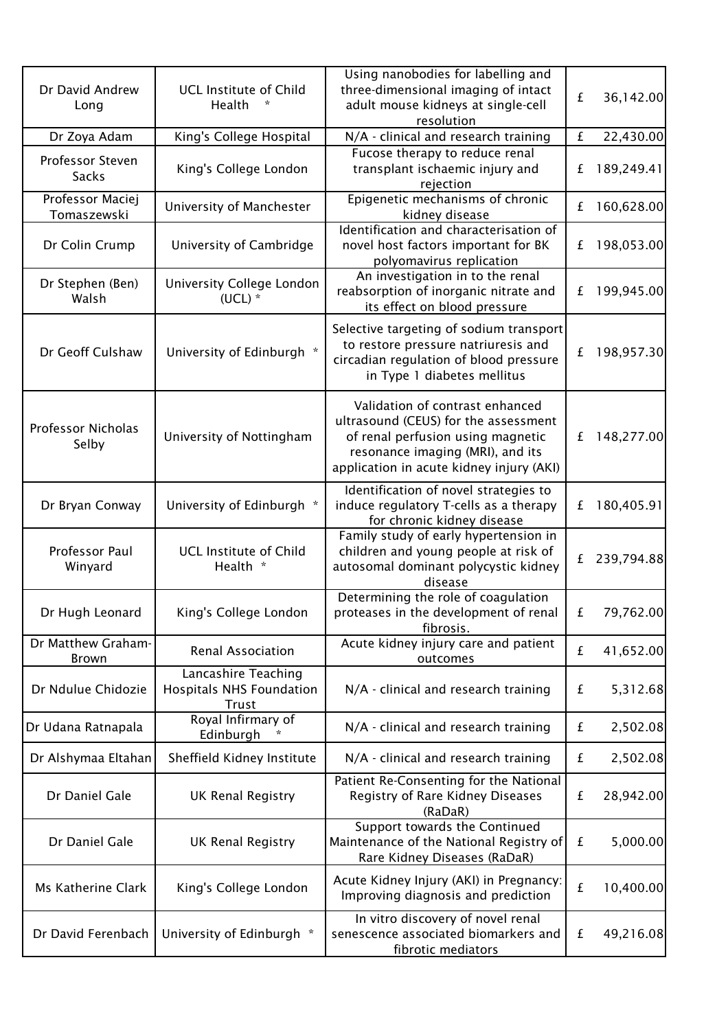| Dr David Andrew<br>Long            | <b>UCL Institute of Child</b><br>Health<br>$\ast$                      | Using nanobodies for labelling and<br>three-dimensional imaging of intact<br>adult mouse kidneys at single-cell<br>resolution                                                                | £ | 36,142.00  |
|------------------------------------|------------------------------------------------------------------------|----------------------------------------------------------------------------------------------------------------------------------------------------------------------------------------------|---|------------|
| Dr Zoya Adam                       | King's College Hospital                                                | N/A - clinical and research training                                                                                                                                                         | £ | 22,430.00  |
| Professor Steven<br><b>Sacks</b>   | King's College London                                                  | Fucose therapy to reduce renal<br>transplant ischaemic injury and<br>rejection                                                                                                               | £ | 189,249.41 |
| Professor Maciej<br>Tomaszewski    | University of Manchester                                               | Epigenetic mechanisms of chronic<br>kidney disease                                                                                                                                           | £ | 160,628.00 |
| Dr Colin Crump                     | University of Cambridge                                                | Identification and characterisation of<br>novel host factors important for BK<br>polyomavirus replication                                                                                    | £ | 198,053.00 |
| Dr Stephen (Ben)<br>Walsh          | University College London<br>$(UCL)$ *                                 | An investigation in to the renal<br>reabsorption of inorganic nitrate and<br>its effect on blood pressure                                                                                    | £ | 199,945.00 |
| Dr Geoff Culshaw                   | University of Edinburgh *                                              | Selective targeting of sodium transport<br>to restore pressure natriuresis and<br>circadian regulation of blood pressure<br>in Type 1 diabetes mellitus                                      | £ | 198,957.30 |
| <b>Professor Nicholas</b><br>Selby | University of Nottingham                                               | Validation of contrast enhanced<br>ultrasound (CEUS) for the assessment<br>of renal perfusion using magnetic<br>resonance imaging (MRI), and its<br>application in acute kidney injury (AKI) | £ | 148,277.00 |
| Dr Bryan Conway                    | University of Edinburgh *                                              | Identification of novel strategies to<br>induce regulatory T-cells as a therapy<br>for chronic kidney disease                                                                                | £ | 180,405.91 |
| Professor Paul<br>Winyard          | <b>UCL Institute of Child</b><br>Health *                              | Family study of early hypertension in<br>children and young people at risk of<br>autosomal dominant polycystic kidney<br>disease                                                             | £ | 239,794.88 |
| Dr Hugh Leonard                    | King's College London                                                  | Determining the role of coagulation<br>proteases in the development of renal<br>fibrosis.                                                                                                    | £ | 79,762.00  |
| Dr Matthew Graham-<br><b>Brown</b> | <b>Renal Association</b>                                               | Acute kidney injury care and patient<br>outcomes                                                                                                                                             | £ | 41,652.00  |
| Dr Ndulue Chidozie                 | Lancashire Teaching<br><b>Hospitals NHS Foundation</b><br><b>Trust</b> | N/A - clinical and research training                                                                                                                                                         | £ | 5,312.68   |
| Dr Udana Ratnapala                 | Royal Infirmary of<br>Edinburgh                                        | N/A - clinical and research training                                                                                                                                                         | £ | 2,502.08   |
| Dr Alshymaa Eltahan                | Sheffield Kidney Institute                                             | N/A - clinical and research training                                                                                                                                                         | £ | 2,502.08   |
| Dr Daniel Gale                     | <b>UK Renal Registry</b>                                               | Patient Re-Consenting for the National<br>Registry of Rare Kidney Diseases<br>(RaDaR)                                                                                                        | £ | 28,942.00  |
| Dr Daniel Gale                     | <b>UK Renal Registry</b>                                               | Support towards the Continued<br>Maintenance of the National Registry of<br>Rare Kidney Diseases (RaDaR)                                                                                     | £ | 5,000.00   |
| Ms Katherine Clark                 | King's College London                                                  | Acute Kidney Injury (AKI) in Pregnancy:<br>Improving diagnosis and prediction                                                                                                                | £ | 10,400.00  |
| Dr David Ferenbach                 | University of Edinburgh *                                              | In vitro discovery of novel renal<br>senescence associated biomarkers and<br>fibrotic mediators                                                                                              | £ | 49,216.08  |